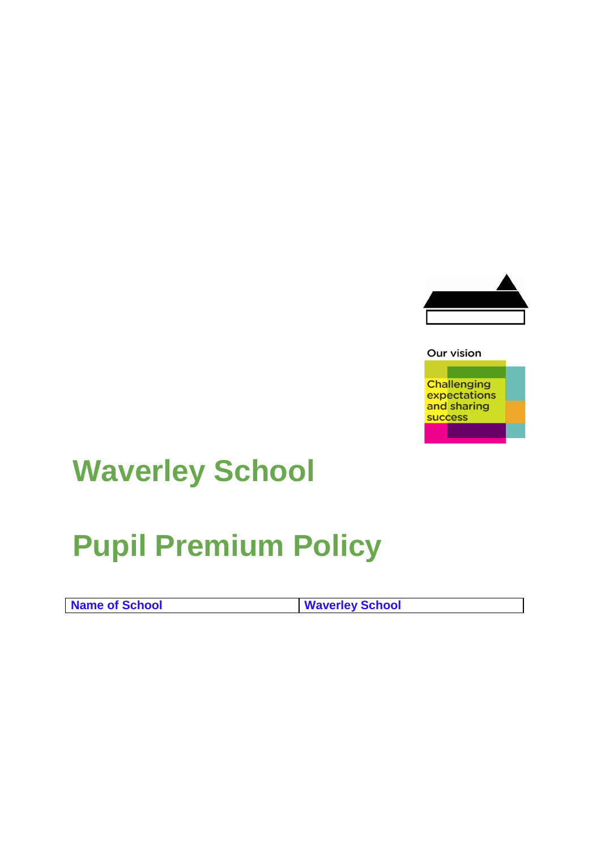

## Our vision **Challenging** expectations and sharing success

## **Waverley School**

## **Pupil Premium Policy**

| Name of School | <b>Waverley School</b> |
|----------------|------------------------|